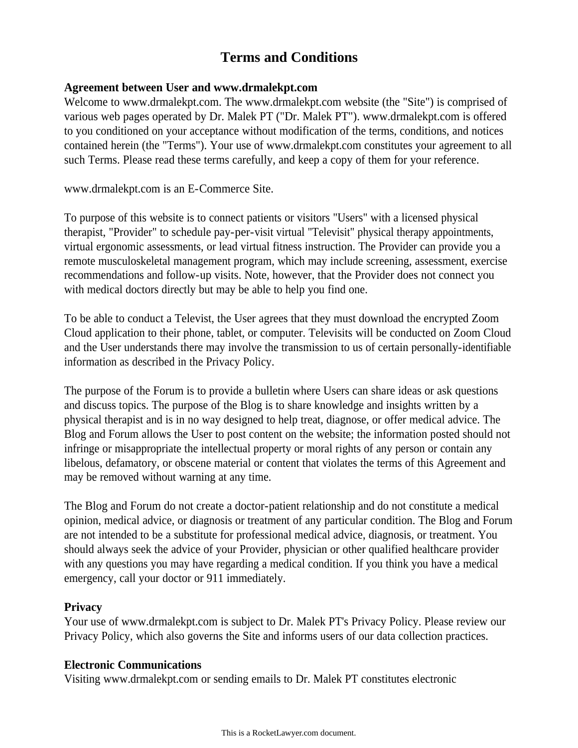# **Terms and Conditions**

### **Agreement between User and www.drmalekpt.com**

Welcome to www.drmalekpt.com. The www.drmalekpt.com website (the "Site") is comprised of various web pages operated by Dr. Malek PT ("Dr. Malek PT"). www.drmalekpt.com is offered to you conditioned on your acceptance without modification of the terms, conditions, and notices contained herein (the "Terms"). Your use of www.drmalekpt.com constitutes your agreement to all such Terms. Please read these terms carefully, and keep a copy of them for your reference.

www.drmalekpt.com is an E-Commerce Site.

To purpose of this website is to connect patients or visitors "Users" with a licensed physical therapist, "Provider" to schedule pay-per-visit virtual "Televisit" physical therapy appointments, virtual ergonomic assessments, or lead virtual fitness instruction. The Provider can provide you a remote musculoskeletal management program, which may include screening, assessment, exercise recommendations and follow-up visits. Note, however, that the Provider does not connect you with medical doctors directly but may be able to help you find one.

To be able to conduct a Televist, the User agrees that they must download the encrypted Zoom Cloud application to their phone, tablet, or computer. Televisits will be conducted on Zoom Cloud and the User understands there may involve the transmission to us of certain personally-identifiable information as described in the Privacy Policy.

The purpose of the Forum is to provide a bulletin where Users can share ideas or ask questions and discuss topics. The purpose of the Blog is to share knowledge and insights written by a physical therapist and is in no way designed to help treat, diagnose, or offer medical advice. The Blog and Forum allows the User to post content on the website; the information posted should not infringe or misappropriate the intellectual property or moral rights of any person or contain any libelous, defamatory, or obscene material or content that violates the terms of this Agreement and may be removed without warning at any time.

The Blog and Forum do not create a doctor-patient relationship and do not constitute a medical opinion, medical advice, or diagnosis or treatment of any particular condition. The Blog and Forum are not intended to be a substitute for professional medical advice, diagnosis, or treatment. You should always seek the advice of your Provider, physician or other qualified healthcare provider with any questions you may have regarding a medical condition. If you think you have a medical emergency, call your doctor or 911 immediately.

#### **Privacy**

Your use of www.drmalekpt.com is subject to Dr. Malek PT's Privacy Policy. Please review our Privacy Policy, which also governs the Site and informs users of our data collection practices.

#### **Electronic Communications**

Visiting www.drmalekpt.com or sending emails to Dr. Malek PT constitutes electronic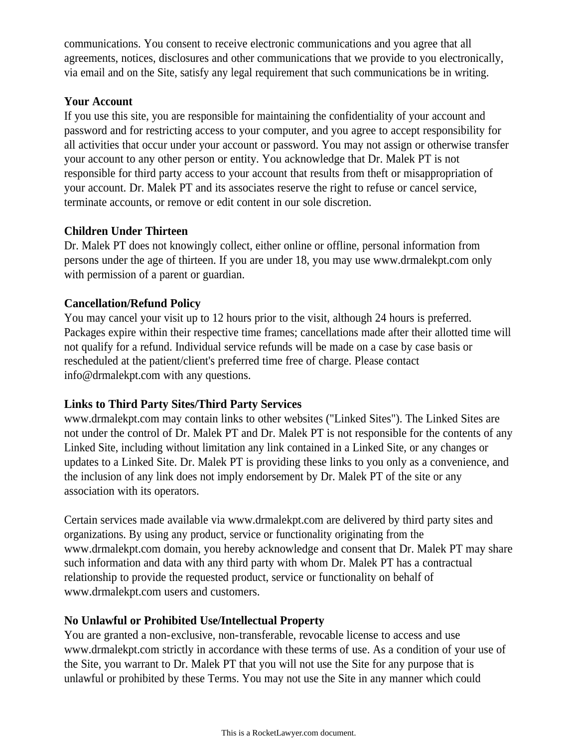communications. You consent to receive electronic communications and you agree that all agreements, notices, disclosures and other communications that we provide to you electronically, via email and on the Site, satisfy any legal requirement that such communications be in writing.

### **Your Account**

If you use this site, you are responsible for maintaining the confidentiality of your account and password and for restricting access to your computer, and you agree to accept responsibility for all activities that occur under your account or password. You may not assign or otherwise transfer your account to any other person or entity. You acknowledge that Dr. Malek PT is not responsible for third party access to your account that results from theft or misappropriation of your account. Dr. Malek PT and its associates reserve the right to refuse or cancel service, terminate accounts, or remove or edit content in our sole discretion.

# **Children Under Thirteen**

Dr. Malek PT does not knowingly collect, either online or offline, personal information from persons under the age of thirteen. If you are under 18, you may use www.drmalekpt.com only with permission of a parent or guardian.

# **Cancellation/Refund Policy**

You may cancel your visit up to 12 hours prior to the visit, although 24 hours is preferred. Packages expire within their respective time frames; cancellations made after their allotted time will not qualify for a refund. Individual service refunds will be made on a case by case basis or rescheduled at the patient/client's preferred time free of charge. Please contact info@drmalekpt.com with any questions.

# **Links to Third Party Sites/Third Party Services**

www.drmalekpt.com may contain links to other websites ("Linked Sites"). The Linked Sites are not under the control of Dr. Malek PT and Dr. Malek PT is not responsible for the contents of any Linked Site, including without limitation any link contained in a Linked Site, or any changes or updates to a Linked Site. Dr. Malek PT is providing these links to you only as a convenience, and the inclusion of any link does not imply endorsement by Dr. Malek PT of the site or any association with its operators.

Certain services made available via www.drmalekpt.com are delivered by third party sites and organizations. By using any product, service or functionality originating from the www.drmalekpt.com domain, you hereby acknowledge and consent that Dr. Malek PT may share such information and data with any third party with whom Dr. Malek PT has a contractual relationship to provide the requested product, service or functionality on behalf of www.drmalekpt.com users and customers.

# **No Unlawful or Prohibited Use/Intellectual Property**

You are granted a non-exclusive, non-transferable, revocable license to access and use www.drmalekpt.com strictly in accordance with these terms of use. As a condition of your use of the Site, you warrant to Dr. Malek PT that you will not use the Site for any purpose that is unlawful or prohibited by these Terms. You may not use the Site in any manner which could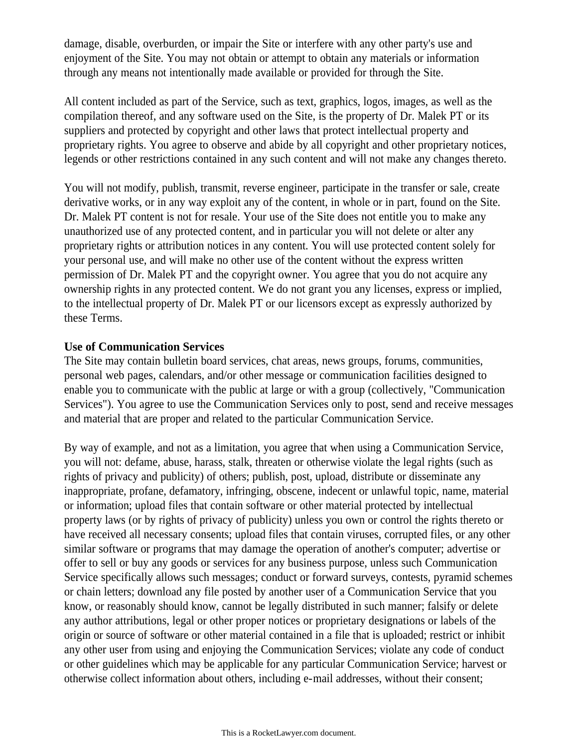damage, disable, overburden, or impair the Site or interfere with any other party's use and enjoyment of the Site. You may not obtain or attempt to obtain any materials or information through any means not intentionally made available or provided for through the Site.

All content included as part of the Service, such as text, graphics, logos, images, as well as the compilation thereof, and any software used on the Site, is the property of Dr. Malek PT or its suppliers and protected by copyright and other laws that protect intellectual property and proprietary rights. You agree to observe and abide by all copyright and other proprietary notices, legends or other restrictions contained in any such content and will not make any changes thereto.

You will not modify, publish, transmit, reverse engineer, participate in the transfer or sale, create derivative works, or in any way exploit any of the content, in whole or in part, found on the Site. Dr. Malek PT content is not for resale. Your use of the Site does not entitle you to make any unauthorized use of any protected content, and in particular you will not delete or alter any proprietary rights or attribution notices in any content. You will use protected content solely for your personal use, and will make no other use of the content without the express written permission of Dr. Malek PT and the copyright owner. You agree that you do not acquire any ownership rights in any protected content. We do not grant you any licenses, express or implied, to the intellectual property of Dr. Malek PT or our licensors except as expressly authorized by these Terms.

#### **Use of Communication Services**

The Site may contain bulletin board services, chat areas, news groups, forums, communities, personal web pages, calendars, and/or other message or communication facilities designed to enable you to communicate with the public at large or with a group (collectively, "Communication Services"). You agree to use the Communication Services only to post, send and receive messages and material that are proper and related to the particular Communication Service.

By way of example, and not as a limitation, you agree that when using a Communication Service, you will not: defame, abuse, harass, stalk, threaten or otherwise violate the legal rights (such as rights of privacy and publicity) of others; publish, post, upload, distribute or disseminate any inappropriate, profane, defamatory, infringing, obscene, indecent or unlawful topic, name, material or information; upload files that contain software or other material protected by intellectual property laws (or by rights of privacy of publicity) unless you own or control the rights thereto or have received all necessary consents; upload files that contain viruses, corrupted files, or any other similar software or programs that may damage the operation of another's computer; advertise or offer to sell or buy any goods or services for any business purpose, unless such Communication Service specifically allows such messages; conduct or forward surveys, contests, pyramid schemes or chain letters; download any file posted by another user of a Communication Service that you know, or reasonably should know, cannot be legally distributed in such manner; falsify or delete any author attributions, legal or other proper notices or proprietary designations or labels of the origin or source of software or other material contained in a file that is uploaded; restrict or inhibit any other user from using and enjoying the Communication Services; violate any code of conduct or other guidelines which may be applicable for any particular Communication Service; harvest or otherwise collect information about others, including e-mail addresses, without their consent;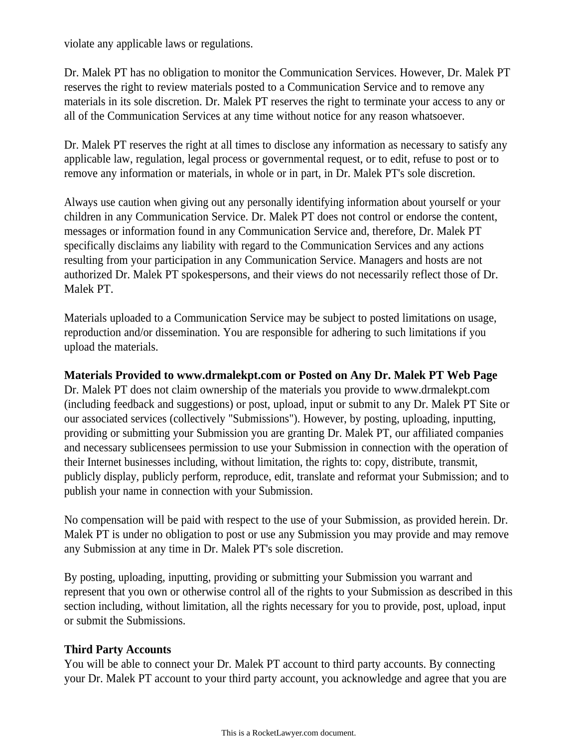violate any applicable laws or regulations.

Dr. Malek PT has no obligation to monitor the Communication Services. However, Dr. Malek PT reserves the right to review materials posted to a Communication Service and to remove any materials in its sole discretion. Dr. Malek PT reserves the right to terminate your access to any or all of the Communication Services at any time without notice for any reason whatsoever.

Dr. Malek PT reserves the right at all times to disclose any information as necessary to satisfy any applicable law, regulation, legal process or governmental request, or to edit, refuse to post or to remove any information or materials, in whole or in part, in Dr. Malek PT's sole discretion.

Always use caution when giving out any personally identifying information about yourself or your children in any Communication Service. Dr. Malek PT does not control or endorse the content, messages or information found in any Communication Service and, therefore, Dr. Malek PT specifically disclaims any liability with regard to the Communication Services and any actions resulting from your participation in any Communication Service. Managers and hosts are not authorized Dr. Malek PT spokespersons, and their views do not necessarily reflect those of Dr. Malek PT.

Materials uploaded to a Communication Service may be subject to posted limitations on usage, reproduction and/or dissemination. You are responsible for adhering to such limitations if you upload the materials.

# **Materials Provided to www.drmalekpt.com or Posted on Any Dr. Malek PT Web Page**

Dr. Malek PT does not claim ownership of the materials you provide to www.drmalekpt.com (including feedback and suggestions) or post, upload, input or submit to any Dr. Malek PT Site or our associated services (collectively "Submissions"). However, by posting, uploading, inputting, providing or submitting your Submission you are granting Dr. Malek PT, our affiliated companies and necessary sublicensees permission to use your Submission in connection with the operation of their Internet businesses including, without limitation, the rights to: copy, distribute, transmit, publicly display, publicly perform, reproduce, edit, translate and reformat your Submission; and to publish your name in connection with your Submission.

No compensation will be paid with respect to the use of your Submission, as provided herein. Dr. Malek PT is under no obligation to post or use any Submission you may provide and may remove any Submission at any time in Dr. Malek PT's sole discretion.

By posting, uploading, inputting, providing or submitting your Submission you warrant and represent that you own or otherwise control all of the rights to your Submission as described in this section including, without limitation, all the rights necessary for you to provide, post, upload, input or submit the Submissions.

#### **Third Party Accounts**

You will be able to connect your Dr. Malek PT account to third party accounts. By connecting your Dr. Malek PT account to your third party account, you acknowledge and agree that you are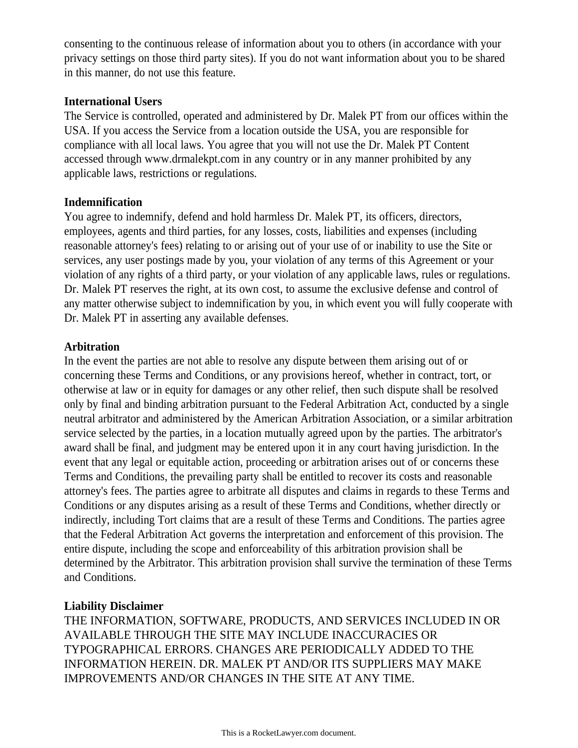consenting to the continuous release of information about you to others (in accordance with your privacy settings on those third party sites). If you do not want information about you to be shared in this manner, do not use this feature.

### **International Users**

The Service is controlled, operated and administered by Dr. Malek PT from our offices within the USA. If you access the Service from a location outside the USA, you are responsible for compliance with all local laws. You agree that you will not use the Dr. Malek PT Content accessed through www.drmalekpt.com in any country or in any manner prohibited by any applicable laws, restrictions or regulations.

### **Indemnification**

You agree to indemnify, defend and hold harmless Dr. Malek PT, its officers, directors, employees, agents and third parties, for any losses, costs, liabilities and expenses (including reasonable attorney's fees) relating to or arising out of your use of or inability to use the Site or services, any user postings made by you, your violation of any terms of this Agreement or your violation of any rights of a third party, or your violation of any applicable laws, rules or regulations. Dr. Malek PT reserves the right, at its own cost, to assume the exclusive defense and control of any matter otherwise subject to indemnification by you, in which event you will fully cooperate with Dr. Malek PT in asserting any available defenses.

### **Arbitration**

In the event the parties are not able to resolve any dispute between them arising out of or concerning these Terms and Conditions, or any provisions hereof, whether in contract, tort, or otherwise at law or in equity for damages or any other relief, then such dispute shall be resolved only by final and binding arbitration pursuant to the Federal Arbitration Act, conducted by a single neutral arbitrator and administered by the American Arbitration Association, or a similar arbitration service selected by the parties, in a location mutually agreed upon by the parties. The arbitrator's award shall be final, and judgment may be entered upon it in any court having jurisdiction. In the event that any legal or equitable action, proceeding or arbitration arises out of or concerns these Terms and Conditions, the prevailing party shall be entitled to recover its costs and reasonable attorney's fees. The parties agree to arbitrate all disputes and claims in regards to these Terms and Conditions or any disputes arising as a result of these Terms and Conditions, whether directly or indirectly, including Tort claims that are a result of these Terms and Conditions. The parties agree that the Federal Arbitration Act governs the interpretation and enforcement of this provision. The entire dispute, including the scope and enforceability of this arbitration provision shall be determined by the Arbitrator. This arbitration provision shall survive the termination of these Terms and Conditions.

# **Liability Disclaimer**

THE INFORMATION, SOFTWARE, PRODUCTS, AND SERVICES INCLUDED IN OR AVAILABLE THROUGH THE SITE MAY INCLUDE INACCURACIES OR TYPOGRAPHICAL ERRORS. CHANGES ARE PERIODICALLY ADDED TO THE INFORMATION HEREIN. DR. MALEK PT AND/OR ITS SUPPLIERS MAY MAKE IMPROVEMENTS AND/OR CHANGES IN THE SITE AT ANY TIME.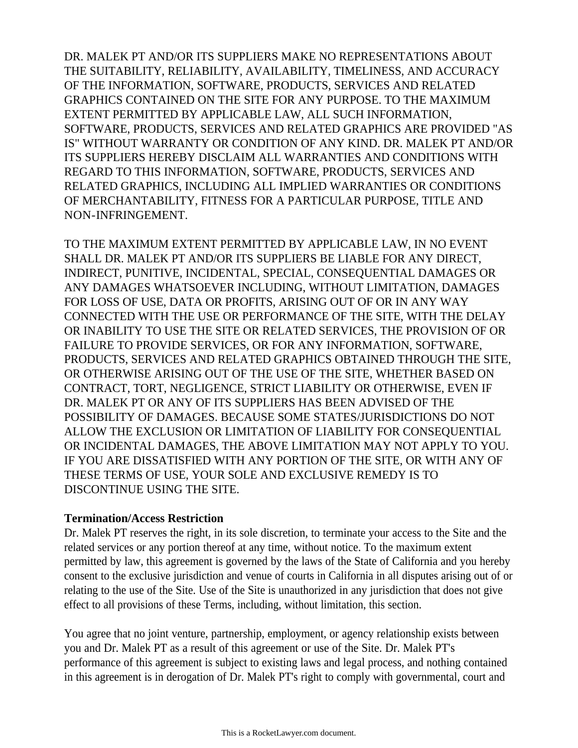DR. MALEK PT AND/OR ITS SUPPLIERS MAKE NO REPRESENTATIONS ABOUT THE SUITABILITY, RELIABILITY, AVAILABILITY, TIMELINESS, AND ACCURACY OF THE INFORMATION, SOFTWARE, PRODUCTS, SERVICES AND RELATED GRAPHICS CONTAINED ON THE SITE FOR ANY PURPOSE. TO THE MAXIMUM EXTENT PERMITTED BY APPLICABLE LAW, ALL SUCH INFORMATION, SOFTWARE, PRODUCTS, SERVICES AND RELATED GRAPHICS ARE PROVIDED "AS IS" WITHOUT WARRANTY OR CONDITION OF ANY KIND. DR. MALEK PT AND/OR ITS SUPPLIERS HEREBY DISCLAIM ALL WARRANTIES AND CONDITIONS WITH REGARD TO THIS INFORMATION, SOFTWARE, PRODUCTS, SERVICES AND RELATED GRAPHICS, INCLUDING ALL IMPLIED WARRANTIES OR CONDITIONS OF MERCHANTABILITY, FITNESS FOR A PARTICULAR PURPOSE, TITLE AND NON-INFRINGEMENT.

TO THE MAXIMUM EXTENT PERMITTED BY APPLICABLE LAW, IN NO EVENT SHALL DR. MALEK PT AND/OR ITS SUPPLIERS BE LIABLE FOR ANY DIRECT, INDIRECT, PUNITIVE, INCIDENTAL, SPECIAL, CONSEQUENTIAL DAMAGES OR ANY DAMAGES WHATSOEVER INCLUDING, WITHOUT LIMITATION, DAMAGES FOR LOSS OF USE, DATA OR PROFITS, ARISING OUT OF OR IN ANY WAY CONNECTED WITH THE USE OR PERFORMANCE OF THE SITE, WITH THE DELAY OR INABILITY TO USE THE SITE OR RELATED SERVICES, THE PROVISION OF OR FAILURE TO PROVIDE SERVICES, OR FOR ANY INFORMATION, SOFTWARE, PRODUCTS, SERVICES AND RELATED GRAPHICS OBTAINED THROUGH THE SITE, OR OTHERWISE ARISING OUT OF THE USE OF THE SITE, WHETHER BASED ON CONTRACT, TORT, NEGLIGENCE, STRICT LIABILITY OR OTHERWISE, EVEN IF DR. MALEK PT OR ANY OF ITS SUPPLIERS HAS BEEN ADVISED OF THE POSSIBILITY OF DAMAGES. BECAUSE SOME STATES/JURISDICTIONS DO NOT ALLOW THE EXCLUSION OR LIMITATION OF LIABILITY FOR CONSEQUENTIAL OR INCIDENTAL DAMAGES, THE ABOVE LIMITATION MAY NOT APPLY TO YOU. IF YOU ARE DISSATISFIED WITH ANY PORTION OF THE SITE, OR WITH ANY OF THESE TERMS OF USE, YOUR SOLE AND EXCLUSIVE REMEDY IS TO DISCONTINUE USING THE SITE.

#### **Termination/Access Restriction**

Dr. Malek PT reserves the right, in its sole discretion, to terminate your access to the Site and the related services or any portion thereof at any time, without notice. To the maximum extent permitted by law, this agreement is governed by the laws of the State of California and you hereby consent to the exclusive jurisdiction and venue of courts in California in all disputes arising out of or relating to the use of the Site. Use of the Site is unauthorized in any jurisdiction that does not give effect to all provisions of these Terms, including, without limitation, this section.

You agree that no joint venture, partnership, employment, or agency relationship exists between you and Dr. Malek PT as a result of this agreement or use of the Site. Dr. Malek PT's performance of this agreement is subject to existing laws and legal process, and nothing contained in this agreement is in derogation of Dr. Malek PT's right to comply with governmental, court and